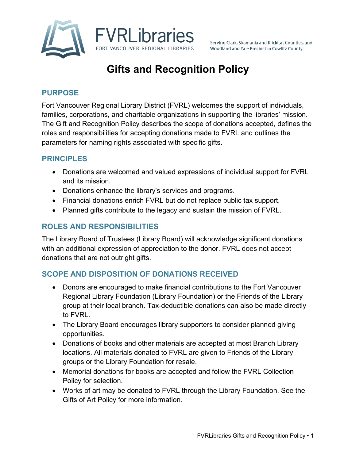

# **Gifts and Recognition Policy**

## **PURPOSE**

Fort Vancouver Regional Library District (FVRL) welcomes the support of individuals, families, corporations, and charitable organizations in supporting the libraries' mission. The Gift and Recognition Policy describes the scope of donations accepted, defines the roles and responsibilities for accepting donations made to FVRL and outlines the parameters for naming rights associated with specific gifts.

## **PRINCIPLES**

- Donations are welcomed and valued expressions of individual support for FVRL and its mission.
- Donations enhance the library's services and programs.
- Financial donations enrich FVRL but do not replace public tax support.
- Planned gifts contribute to the legacy and sustain the mission of FVRL.

# **ROLES AND RESPONSIBILITIES**

The Library Board of Trustees (Library Board) will acknowledge significant donations with an additional expression of appreciation to the donor. FVRL does not accept donations that are not outright gifts.

## **SCOPE AND DISPOSITION OF DONATIONS RECEIVED**

- Donors are encouraged to make financial contributions to the Fort Vancouver Regional Library Foundation (Library Foundation) or the Friends of the Library group at their local branch. Tax-deductible donations can also be made directly to FVRL.
- The Library Board encourages library supporters to consider planned giving opportunities.
- Donations of books and other materials are accepted at most Branch Library locations. All materials donated to FVRL are given to Friends of the Library groups or the Library Foundation for resale.
- Memorial donations for books are accepted and follow the FVRL Collection Policy for selection.
- Works of art may be donated to FVRL through the Library Foundation. See the Gifts of Art Policy for more information.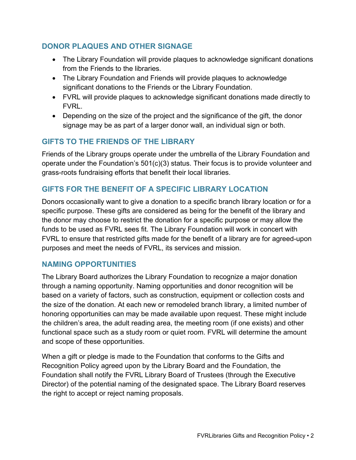# **DONOR PLAQUES AND OTHER SIGNAGE**

- The Library Foundation will provide plaques to acknowledge significant donations from the Friends to the libraries.
- The Library Foundation and Friends will provide plaques to acknowledge significant donations to the Friends or the Library Foundation.
- FVRL will provide plaques to acknowledge significant donations made directly to FVRL.
- Depending on the size of the project and the significance of the gift, the donor signage may be as part of a larger donor wall, an individual sign or both.

# **GIFTS TO THE FRIENDS OF THE LIBRARY**

Friends of the Library groups operate under the umbrella of the Library Foundation and operate under the Foundation's 501(c)(3) status. Their focus is to provide volunteer and grass-roots fundraising efforts that benefit their local libraries.

# **GIFTS FOR THE BENEFIT OF A SPECIFIC LIBRARY LOCATION**

Donors occasionally want to give a donation to a specific branch library location or for a specific purpose. These gifts are considered as being for the benefit of the library and the donor may choose to restrict the donation for a specific purpose or may allow the funds to be used as FVRL sees fit. The Library Foundation will work in concert with FVRL to ensure that restricted gifts made for the benefit of a library are for agreed-upon purposes and meet the needs of FVRL, its services and mission.

## **NAMING OPPORTUNITIES**

The Library Board authorizes the Library Foundation to recognize a major donation through a naming opportunity. Naming opportunities and donor recognition will be based on a variety of factors, such as construction, equipment or collection costs and the size of the donation. At each new or remodeled branch library, a limited number of honoring opportunities can may be made available upon request. These might include the children's area, the adult reading area, the meeting room (if one exists) and other functional space such as a study room or quiet room. FVRL will determine the amount and scope of these opportunities.

When a gift or pledge is made to the Foundation that conforms to the Gifts and Recognition Policy agreed upon by the Library Board and the Foundation, the Foundation shall notify the FVRL Library Board of Trustees (through the Executive Director) of the potential naming of the designated space. The Library Board reserves the right to accept or reject naming proposals.